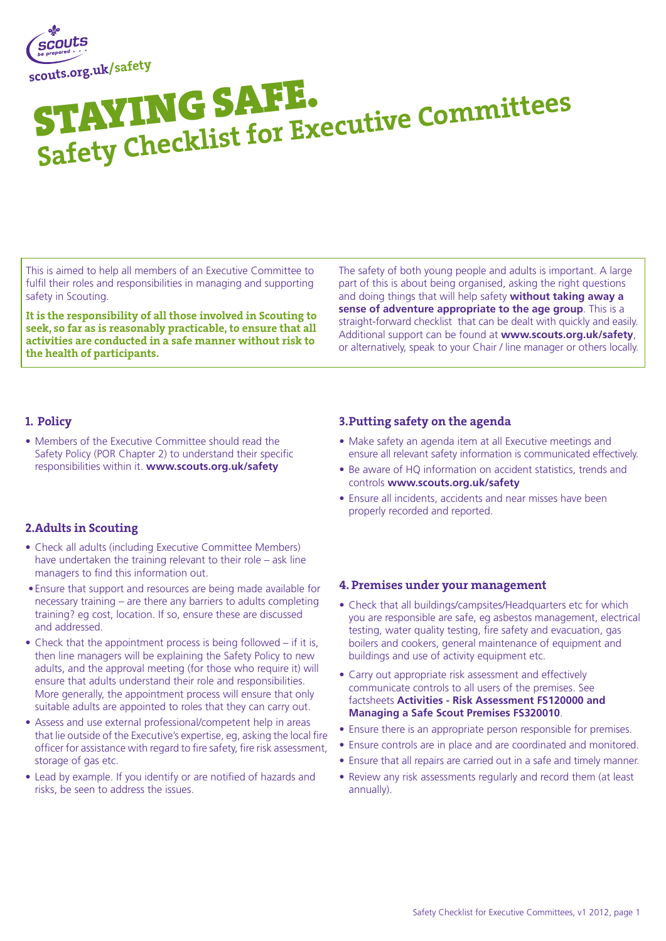

# Staying Safe. Safety Checklist for Executive Committees

This is aimed to help all members of an Executive Committee to fulfil their roles and responsibilities in managing and supporting safety in Scouting.

It is the responsibility of all those involved in Scouting to seek, so far as is reasonably practicable, to ensure that all activities are conducted in a safe manner without risk to the health of participants.

The safety of both young people and adults is important. A large part of this is about being organised, asking the right questions and doing things that will help safety **without taking away a sense of adventure appropriate to the age group**. This is a straight-forward checklist that can be dealt with quickly and easily. Additional support can be found at **www.scouts.org.uk/safety**, or alternatively, speak to your Chair / line manager or others locally.

### 1. Policy

• Members of the Executive Committee should read the Safety Policy (POR Chapter 2) to understand their specific responsibilities within it. **www.scouts.org.uk/safety**

## 2.Adults in Scouting

- Check all adults (including Executive Committee Members) have undertaken the training relevant to their role – ask line managers to find this information out.
- Ensure that support and resources are being made available for necessary training – are there any barriers to adults completing training? eg cost, location. If so, ensure these are discussed and addressed.
- Check that the appointment process is being followed if it is, then line managers will be explaining the Safety Policy to new adults, and the approval meeting (for those who require it) will ensure that adults understand their role and responsibilities. More generally, the appointment process will ensure that only suitable adults are appointed to roles that they can carry out.
- Assess and use external professional/competent help in areas that lie outside of the Executive's expertise, eg, asking the local fire officer for assistance with regard to fire safety, fire risk assessment, storage of gas etc.
- Lead by example. If you identify or are notified of hazards and risks, be seen to address the issues.

#### 3.Putting safety on the agenda

- Make safety an agenda item at all Executive meetings and ensure all relevant safety information is communicated effectively.
- Be aware of HQ information on accident statistics, trends and controls **www.scouts.org.uk/safety**
- Ensure all incidents, accidents and near misses have been properly recorded and reported.

#### 4. Premises under your management

- Check that all buildings/campsites/Headquarters etc for which you are responsible are safe, eg asbestos management, electrical testing, water quality testing, fire safety and evacuation, gas boilers and cookers, general maintenance of equipment and buildings and use of activity equipment etc.
- Carry out appropriate risk assessment and effectively communicate controls to all users of the premises. See factsheets **Activities - Risk Assessment FS120000 and Managing a Safe Scout Premises FS320010**.
- Ensure there is an appropriate person responsible for premises.
- Ensure controls are in place and are coordinated and monitored.
- Ensure that all repairs are carried out in a safe and timely manner.
- Review any risk assessments regularly and record them (at least annually).